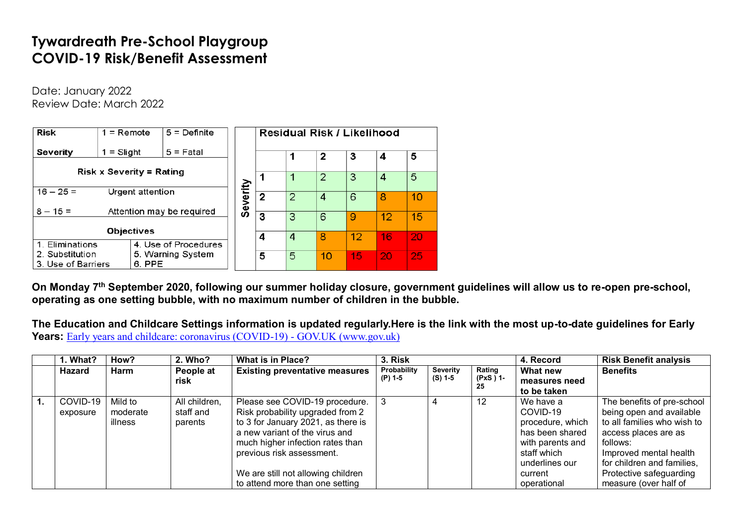## **Tywardreath Pre-School Playgroup COVID-19 Risk/Benefit Assessment**

Date: January 2022 Review Date: March 2022

| <b>Risk</b>                                                          | $5 =$ Definite<br>$1 =$ Remote          |             |          |                |                | Residual Risk / Likelihood |    |    |    |
|----------------------------------------------------------------------|-----------------------------------------|-------------|----------|----------------|----------------|----------------------------|----|----|----|
| Severity                                                             | = Slight                                | $5 =$ Fatal |          |                |                | 2                          | З  | 4  | 5  |
|                                                                      |                                         |             |          |                |                |                            |    |    |    |
| <b>Risk x Severity = Rating</b>                                      |                                         |             |          |                |                | 2                          | 3  | 4  | 5  |
| $16 - 25 =$                                                          | Urgent attention                        |             | Severity | $\overline{2}$ | $\overline{2}$ | 4                          | 6  | 8  | 10 |
|                                                                      |                                         |             |          |                |                |                            |    |    |    |
|                                                                      | Attention may be required<br>$8 - 15 =$ |             |          | 3              | 3              | 6                          | 9  | 12 | 15 |
| <b>Objectives</b>                                                    |                                         |             |          |                |                |                            |    |    |    |
| 1. Eliminations<br>4. Use of Procedures                              |                                         |             | 4        | 4              | 8              | 12                         | 16 | 20 |    |
|                                                                      |                                         |             |          |                |                |                            |    |    |    |
| 2. Substitution<br>5. Warning System<br>3. Use of Barriers<br>6. PPE |                                         |             | 5        | 5              | 10             | 15                         | 20 | 25 |    |

**On Monday 7 th September 2020, following our summer holiday closure, government guidelines will allow us to re-open pre-school, operating as one setting bubble, with no maximum number of children in the bubble.**

**The Education and Childcare Settings information is updated regularly.Here is the link with the most up-to-date guidelines for Early Years:** [Early years and childcare: coronavirus \(COVID-19\) -](https://www.gov.uk/government/collections/early-years-and-childcare-coronavirus-covid-19#history) GOV.UK (www.gov.uk)

|                  | 1. What? | How?        | 2. Who?       | <b>What is in Place?</b>              | 3. Risk     |                 | 4. Record       | <b>Risk Benefit analysis</b> |                             |
|------------------|----------|-------------|---------------|---------------------------------------|-------------|-----------------|-----------------|------------------------------|-----------------------------|
|                  | Hazard   | <b>Harm</b> | People at     | <b>Existing preventative measures</b> | Probability | <b>Severity</b> | Rating          | What new                     | <b>Benefits</b>             |
|                  |          |             | risk          |                                       | (P) 1-5     | (S) 1-5         | (PxS ) 1-<br>25 | measures need                |                             |
|                  |          |             |               |                                       |             |                 |                 | to be taken                  |                             |
| $\overline{1}$ . | COVID-19 | Mild to     | All children, | Please see COVID-19 procedure.        |             |                 | 12              | We have a                    | The benefits of pre-school  |
|                  | exposure | moderate    | staff and     | Risk probability upgraded from 2      |             |                 |                 | COVID-19                     | being open and available    |
|                  |          | illness     | parents       | to 3 for January 2021, as there is    |             |                 |                 | procedure, which             | to all families who wish to |
|                  |          |             |               | a new variant of the virus and        |             |                 |                 | has been shared              | access places are as        |
|                  |          |             |               | much higher infection rates than      |             |                 |                 | with parents and             | follows:                    |
|                  |          |             |               | previous risk assessment.             |             |                 |                 | staff which                  | Improved mental health      |
|                  |          |             |               |                                       |             |                 |                 | underlines our               | for children and families,  |
|                  |          |             |               | We are still not allowing children    |             |                 |                 | current                      | Protective safeguarding     |
|                  |          |             |               | to attend more than one setting       |             |                 |                 | operational                  | measure (over half of       |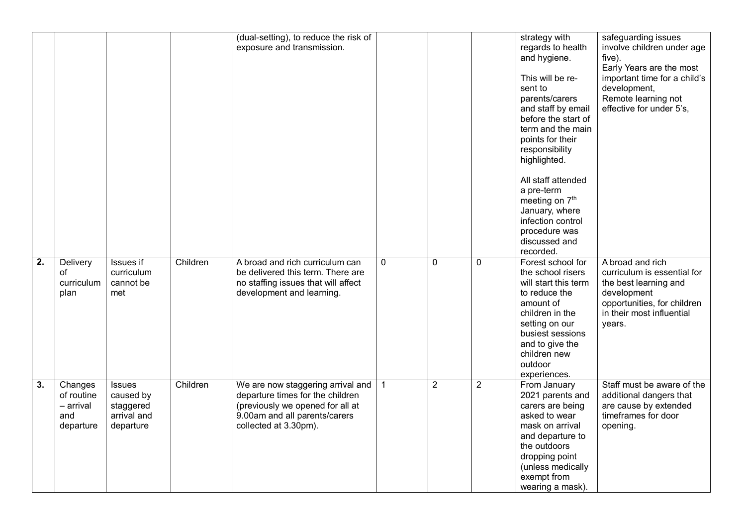|                  |                                                        |                                                                     |          | (dual-setting), to reduce the risk of<br>exposure and transmission.                                                                                                 |              |                |                | strategy with<br>regards to health<br>and hygiene.<br>This will be re-<br>sent to<br>parents/carers<br>and staff by email<br>before the start of<br>term and the main<br>points for their<br>responsibility<br>highlighted.<br>All staff attended<br>a pre-term<br>meeting on 7 <sup>th</sup><br>January, where<br>infection control<br>procedure was | safeguarding issues<br>involve children under age<br>five).<br>Early Years are the most<br>important time for a child's<br>development,<br>Remote learning not<br>effective for under 5's, |
|------------------|--------------------------------------------------------|---------------------------------------------------------------------|----------|---------------------------------------------------------------------------------------------------------------------------------------------------------------------|--------------|----------------|----------------|-------------------------------------------------------------------------------------------------------------------------------------------------------------------------------------------------------------------------------------------------------------------------------------------------------------------------------------------------------|--------------------------------------------------------------------------------------------------------------------------------------------------------------------------------------------|
|                  |                                                        |                                                                     |          |                                                                                                                                                                     |              |                |                | discussed and<br>recorded.                                                                                                                                                                                                                                                                                                                            |                                                                                                                                                                                            |
| $\overline{2}$ . | Delivery<br>of<br>curriculum<br>plan                   | <b>Issues</b> if<br>curriculum<br>cannot be<br>met                  | Children | A broad and rich curriculum can<br>be delivered this term. There are<br>no staffing issues that will affect<br>development and learning.                            | $\mathbf{0}$ | 0              | $\mathbf 0$    | Forest school for<br>the school risers<br>will start this term<br>to reduce the<br>amount of<br>children in the<br>setting on our<br>busiest sessions<br>and to give the<br>children new<br>outdoor<br>experiences.                                                                                                                                   | A broad and rich<br>curriculum is essential for<br>the best learning and<br>development<br>opportunities, for children<br>in their most influential<br>years.                              |
| $\overline{3}$ . | Changes<br>of routine<br>- arrival<br>and<br>departure | <b>Issues</b><br>caused by<br>staggered<br>arrival and<br>departure | Children | We are now staggering arrival and<br>departure times for the children<br>(previously we opened for all at<br>9.00am and all parents/carers<br>collected at 3.30pm). | $\mathbf{1}$ | $\overline{2}$ | $\overline{2}$ | From January<br>2021 parents and<br>carers are being<br>asked to wear<br>mask on arrival<br>and departure to<br>the outdoors<br>dropping point<br>(unless medically<br>exempt from<br>wearing a mask).                                                                                                                                                | Staff must be aware of the<br>additional dangers that<br>are cause by extended<br>timeframes for door<br>opening.                                                                          |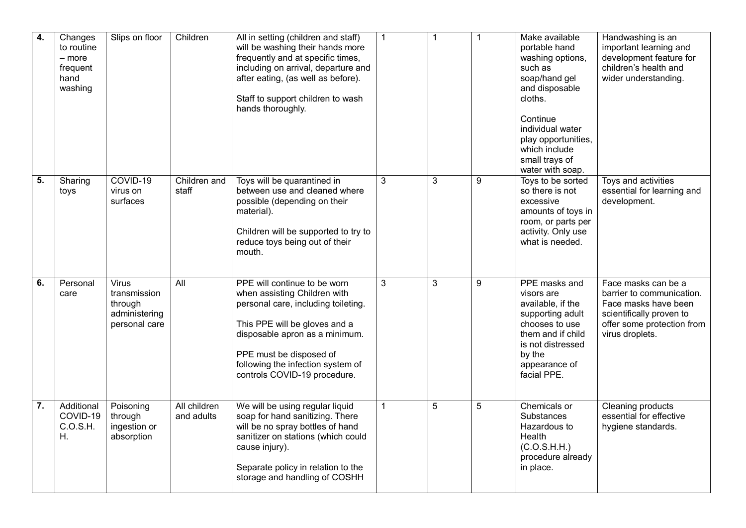| $\overline{4}$ . | Changes<br>to routine<br>- more<br>frequent<br>hand<br>washing | Slips on floor                                                            | Children                   | All in setting (children and staff)<br>will be washing their hands more<br>frequently and at specific times,<br>including on arrival, departure and<br>after eating, (as well as before).<br>Staff to support children to wash<br>hands thoroughly.                    | $\mathbf{1}$ | $\mathbf{1}$   | $\mathbf{1}$   | Make available<br>portable hand<br>washing options,<br>such as<br>soap/hand gel<br>and disposable<br>cloths.<br>Continue<br>individual water<br>play opportunities,<br>which include<br>small trays of<br>water with soap. | Handwashing is an<br>important learning and<br>development feature for<br>children's health and<br>wider understanding.                               |
|------------------|----------------------------------------------------------------|---------------------------------------------------------------------------|----------------------------|------------------------------------------------------------------------------------------------------------------------------------------------------------------------------------------------------------------------------------------------------------------------|--------------|----------------|----------------|----------------------------------------------------------------------------------------------------------------------------------------------------------------------------------------------------------------------------|-------------------------------------------------------------------------------------------------------------------------------------------------------|
| $\overline{5}$ . | Sharing<br>toys                                                | COVID-19<br>virus on<br>surfaces                                          | Children and<br>staff      | Toys will be quarantined in<br>between use and cleaned where<br>possible (depending on their<br>material).<br>Children will be supported to try to<br>reduce toys being out of their<br>mouth.                                                                         | 3            | $\mathbf{3}$   | 9              | Toys to be sorted<br>so there is not<br>excessive<br>amounts of toys in<br>room, or parts per<br>activity. Only use<br>what is needed.                                                                                     | Toys and activities<br>essential for learning and<br>development.                                                                                     |
| $\overline{6}$ . | Personal<br>care                                               | <b>Virus</b><br>transmission<br>through<br>administering<br>personal care | $\overline{All}$           | PPE will continue to be worn<br>when assisting Children with<br>personal care, including toileting.<br>This PPE will be gloves and a<br>disposable apron as a minimum.<br>PPE must be disposed of<br>following the infection system of<br>controls COVID-19 procedure. | 3            | $\overline{3}$ | 9              | PPE masks and<br>visors are<br>available, if the<br>supporting adult<br>chooses to use<br>them and if child<br>is not distressed<br>by the<br>appearance of<br>facial PPE.                                                 | Face masks can be a<br>barrier to communication.<br>Face masks have been<br>scientifically proven to<br>offer some protection from<br>virus droplets. |
| $\overline{7}$ . | Additional<br>COVID-19<br>C.O.S.H.<br>Н.                       | Poisoning<br>through<br>ingestion or<br>absorption                        | All children<br>and adults | We will be using regular liquid<br>soap for hand sanitizing. There<br>will be no spray bottles of hand<br>sanitizer on stations (which could<br>cause injury).<br>Separate policy in relation to the<br>storage and handling of COSHH                                  | $\mathbf{1}$ | $\overline{5}$ | $\overline{5}$ | Chemicals or<br><b>Substances</b><br>Hazardous to<br>Health<br>(C.O.S.H.H.)<br>procedure already<br>in place.                                                                                                              | Cleaning products<br>essential for effective<br>hygiene standards.                                                                                    |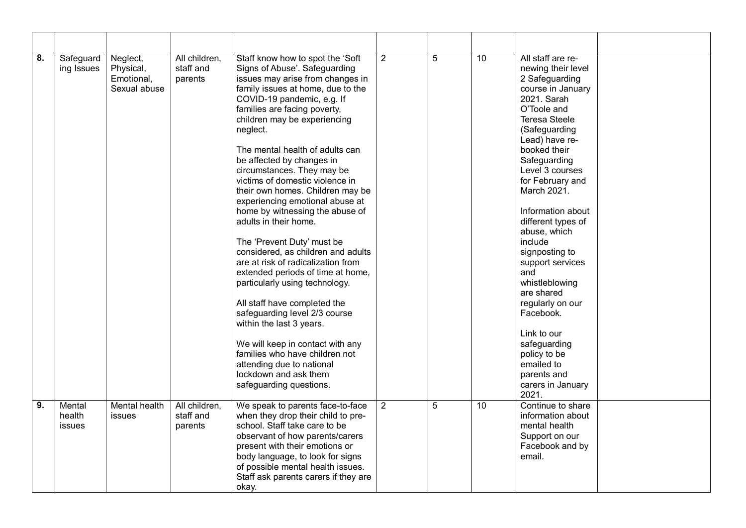| 8. | Safeguard<br>ing Issues    | Neglect,<br>Physical,<br>Emotional,<br>Sexual abuse | All children,<br>staff and<br>parents | Staff know how to spot the 'Soft<br>Signs of Abuse'. Safeguarding<br>issues may arise from changes in<br>family issues at home, due to the<br>COVID-19 pandemic, e.g. If<br>families are facing poverty,<br>children may be experiencing<br>neglect.<br>The mental health of adults can<br>be affected by changes in<br>circumstances. They may be<br>victims of domestic violence in<br>their own homes. Children may be<br>experiencing emotional abuse at<br>home by witnessing the abuse of<br>adults in their home.<br>The 'Prevent Duty' must be<br>considered, as children and adults<br>are at risk of radicalization from<br>extended periods of time at home,<br>particularly using technology.<br>All staff have completed the<br>safeguarding level 2/3 course<br>within the last 3 years.<br>We will keep in contact with any<br>families who have children not<br>attending due to national<br>lockdown and ask them<br>safeguarding questions. | $\overline{2}$ | 5 | 10 <sup>°</sup> | All staff are re-<br>newing their level<br>2 Safeguarding<br>course in January<br>2021. Sarah<br>O'Toole and<br><b>Teresa Steele</b><br>(Safeguarding<br>Lead) have re-<br>booked their<br>Safeguarding<br>Level 3 courses<br>for February and<br>March 2021.<br>Information about<br>different types of<br>abuse, which<br>include<br>signposting to<br>support services<br>and<br>whistleblowing<br>are shared<br>regularly on our<br>Facebook.<br>Link to our<br>safeguarding<br>policy to be<br>emailed to<br>parents and<br>carers in January<br>2021. |  |
|----|----------------------------|-----------------------------------------------------|---------------------------------------|---------------------------------------------------------------------------------------------------------------------------------------------------------------------------------------------------------------------------------------------------------------------------------------------------------------------------------------------------------------------------------------------------------------------------------------------------------------------------------------------------------------------------------------------------------------------------------------------------------------------------------------------------------------------------------------------------------------------------------------------------------------------------------------------------------------------------------------------------------------------------------------------------------------------------------------------------------------|----------------|---|-----------------|-------------------------------------------------------------------------------------------------------------------------------------------------------------------------------------------------------------------------------------------------------------------------------------------------------------------------------------------------------------------------------------------------------------------------------------------------------------------------------------------------------------------------------------------------------------|--|
| 9. | Mental<br>health<br>issues | Mental health<br>issues                             | All children,<br>staff and<br>parents | We speak to parents face-to-face<br>when they drop their child to pre-<br>school. Staff take care to be<br>observant of how parents/carers<br>present with their emotions or<br>body language, to look for signs<br>of possible mental health issues.<br>Staff ask parents carers if they are<br>okay.                                                                                                                                                                                                                                                                                                                                                                                                                                                                                                                                                                                                                                                        | 2              | 5 | $\overline{10}$ | Continue to share<br>information about<br>mental health<br>Support on our<br>Facebook and by<br>email.                                                                                                                                                                                                                                                                                                                                                                                                                                                      |  |